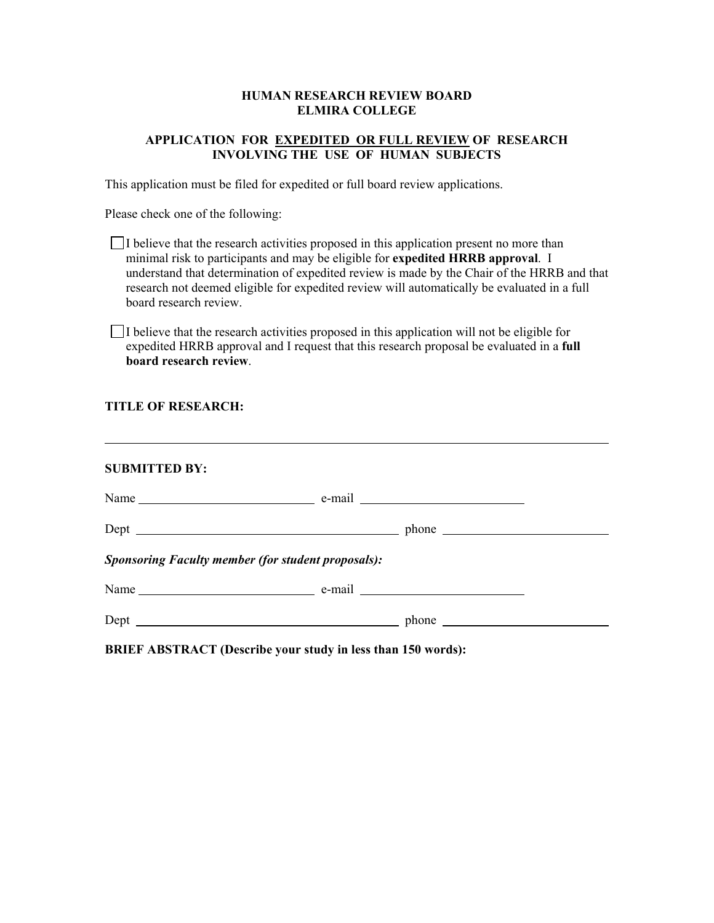## **HUMAN RESEARCH REVIEW BOARD ELMIRA COLLEGE**

## **APPLICATION FOR EXPEDITED OR FULL REVIEW OF RESEARCH INVOLVING THE USE OF HUMAN SUBJECTS**

This application must be filed for expedited or full board review applications.

Please check one of the following:

| I believe that the research activities proposed in this application present no more than    |
|---------------------------------------------------------------------------------------------|
| minimal risk to participants and may be eligible for expedited HRRB approval. I             |
| understand that determination of expedited review is made by the Chair of the HRRB and that |
| research not deemed eligible for expedited review will automatically be evaluated in a full |
| board research review.                                                                      |

 $\Box$ I believe that the research activities proposed in this application will not be eligible for expedited HRRB approval and I request that this research proposal be evaluated in a **full board research review**.

## **TITLE OF RESEARCH:**

| <b>SUBMITTED BY:</b>                                      |  |  |
|-----------------------------------------------------------|--|--|
|                                                           |  |  |
|                                                           |  |  |
| <b>Sponsoring Faculty member (for student proposals):</b> |  |  |
|                                                           |  |  |
|                                                           |  |  |

**BRIEF ABSTRACT (Describe your study in less than 150 words):**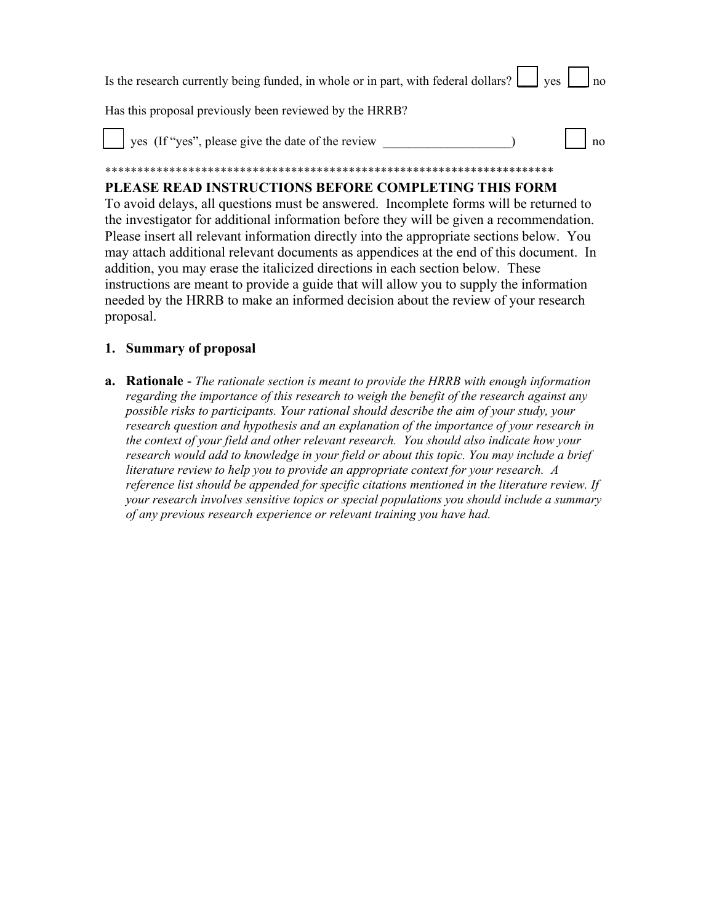| Is the research currently being funded, in whole or in part, with federal dollars? $\Box$ yes $\Box$ no |  |
|---------------------------------------------------------------------------------------------------------|--|
| Has this proposal previously been reviewed by the HRRB?                                                 |  |
| $\log$ $\log$<br>$\parallel$ $\parallel$ yes (If "yes", please give the date of the review              |  |

### \*\*\*\*\*\*\*\*\*\*\*\*\*\*\*\*\*\*\*\*\*\*\*\*\*\*\*\*\*\*\*\*\*\*\*\*\*\*\*\*\*\*\*\*\*\*\*\*\*\*\*\*\*\*\*\*\*\*\*\*\*\*\*\*\*\*\*\*\*\* **PLEASE READ INSTRUCTIONS BEFORE COMPLETING THIS FORM**

To avoid delays, all questions must be answered. Incomplete forms will be returned to the investigator for additional information before they will be given a recommendation. Please insert all relevant information directly into the appropriate sections below. You may attach additional relevant documents as appendices at the end of this document. In addition, you may erase the italicized directions in each section below. These instructions are meant to provide a guide that will allow you to supply the information needed by the HRRB to make an informed decision about the review of your research proposal.

# **1. Summary of proposal**

**a. Rationale** - *The rationale section is meant to provide the HRRB with enough information regarding the importance of this research to weigh the benefit of the research against any possible risks to participants. Your rational should describe the aim of your study, your research question and hypothesis and an explanation of the importance of your research in the context of your field and other relevant research. You should also indicate how your research would add to knowledge in your field or about this topic. You may include a brief literature review to help you to provide an appropriate context for your research. A reference list should be appended for specific citations mentioned in the literature review. If your research involves sensitive topics or special populations you should include a summary of any previous research experience or relevant training you have had.*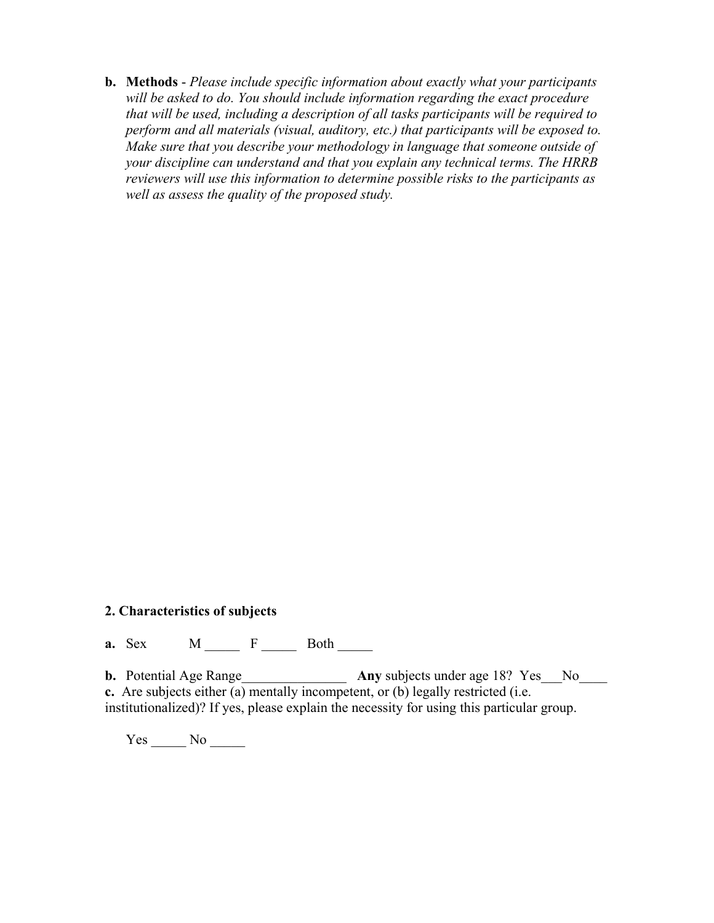**b. Methods** - *Please include specific information about exactly what your participants will be asked to do. You should include information regarding the exact procedure that will be used, including a description of all tasks participants will be required to perform and all materials (visual, auditory, etc.) that participants will be exposed to. Make sure that you describe your methodology in language that someone outside of your discipline can understand and that you explain any technical terms. The HRRB reviewers will use this information to determine possible risks to the participants as well as assess the quality of the proposed study.*

# **2. Characteristics of subjects**

**a.** Sex **M F Both** 

**b.** Potential Age Range\_\_\_\_\_\_\_\_\_\_\_\_\_\_\_\_\_ Any subjects under age 18? Yes\_\_No\_\_\_\_ **c.** Are subjects either (a) mentally incompetent, or (b) legally restricted (i.e. institutionalized)? If yes, please explain the necessity for using this particular group.

Yes \_\_\_\_\_\_ No \_\_\_\_\_\_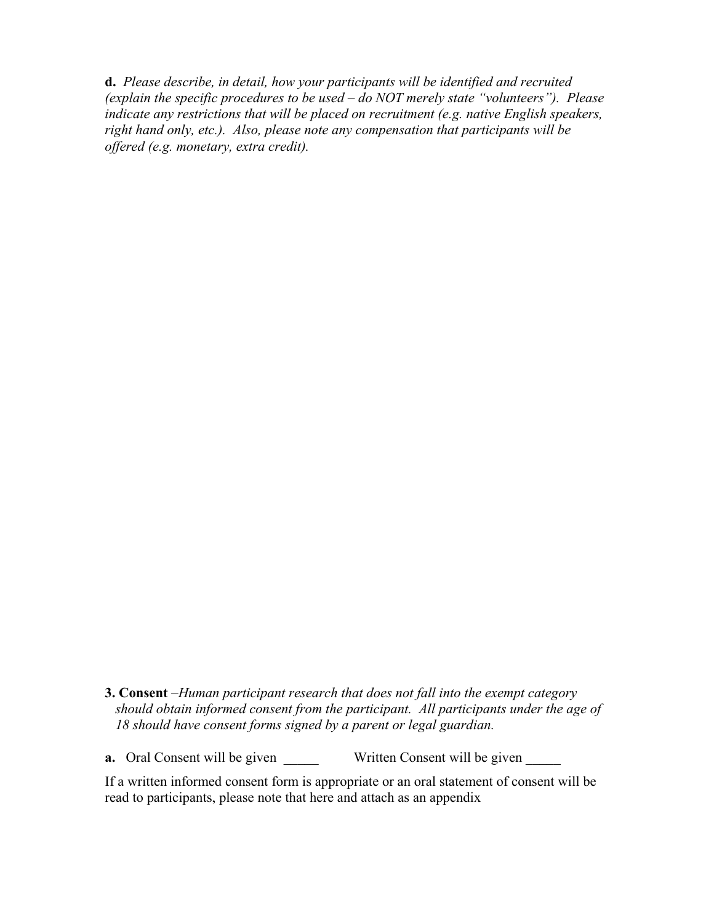**d.** *Please describe, in detail, how your participants will be identified and recruited (explain the specific procedures to be used – do NOT merely state "volunteers"). Please indicate any restrictions that will be placed on recruitment (e.g. native English speakers, right hand only, etc.). Also, please note any compensation that participants will be offered (e.g. monetary, extra credit).*

**3. Consent** –*Human participant research that does not fall into the exempt category should obtain informed consent from the participant. All participants under the age of 18 should have consent forms signed by a parent or legal guardian.* 

**a.** Oral Consent will be given \_\_\_\_\_\_ Written Consent will be given \_\_\_\_\_

If a written informed consent form is appropriate or an oral statement of consent will be read to participants, please note that here and attach as an appendix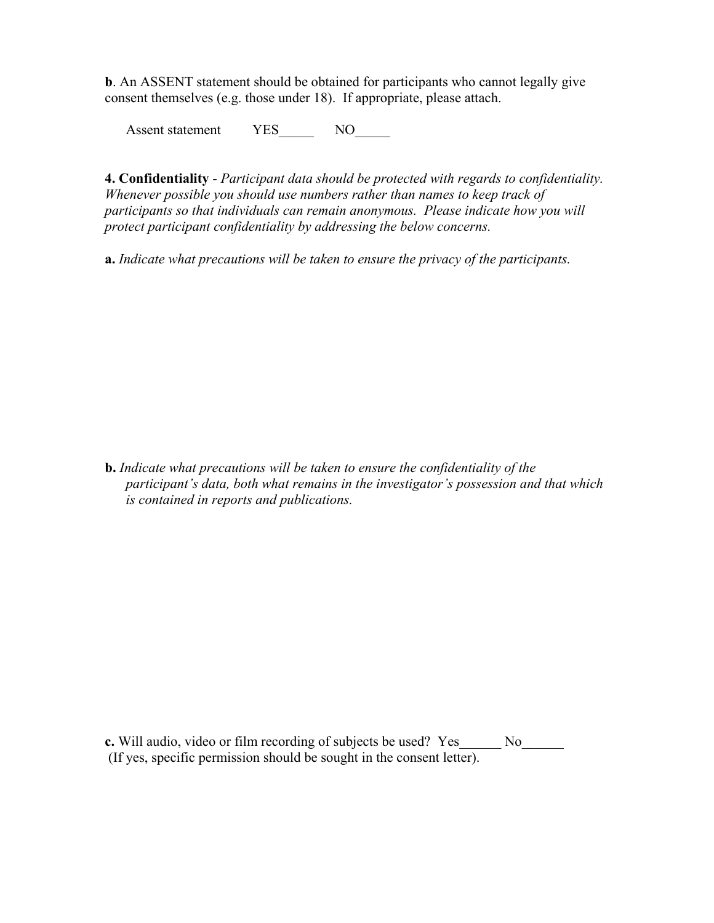**b**. An ASSENT statement should be obtained for participants who cannot legally give consent themselves (e.g. those under 18). If appropriate, please attach.

Assent statement YES NO

**4. Confidentiality** - *Participant data should be protected with regards to confidentiality. Whenever possible you should use numbers rather than names to keep track of participants so that individuals can remain anonymous. Please indicate how you will protect participant confidentiality by addressing the below concerns.*

**a.** *Indicate what precautions will be taken to ensure the privacy of the participants.* 

**b.** *Indicate what precautions will be taken to ensure the confidentiality of the participant's data, both what remains in the investigator's possession and that which is contained in reports and publications.*

**c.** Will audio, video or film recording of subjects be used? Yes\_\_\_\_\_\_ No\_\_\_\_\_\_ (If yes, specific permission should be sought in the consent letter).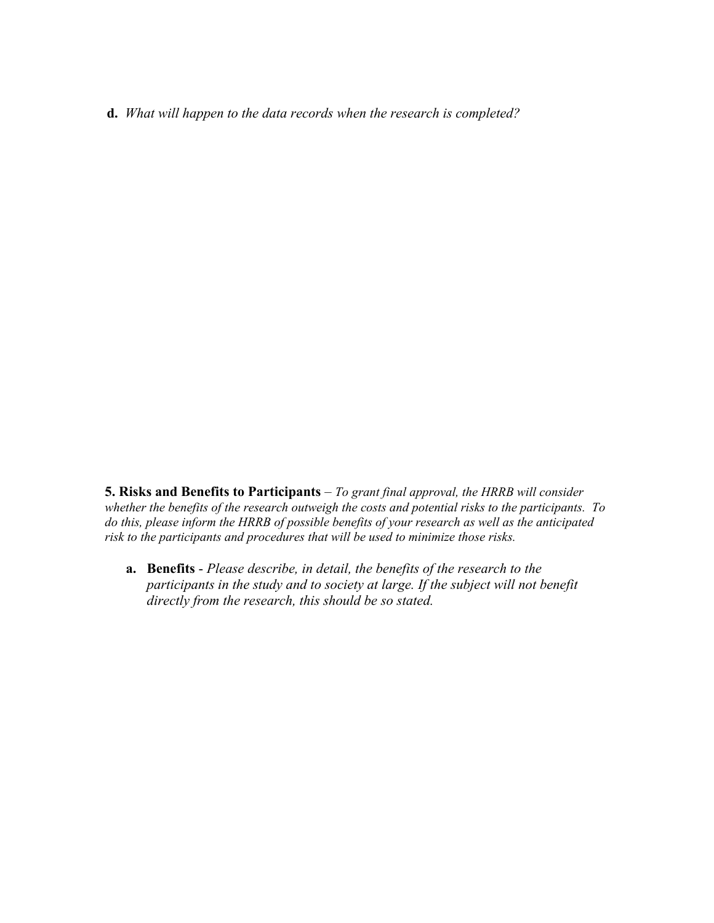**d.** *What will happen to the data records when the research is completed?*

**5. Risks and Benefits to Participants** – *To grant final approval, the HRRB will consider whether the benefits of the research outweigh the costs and potential risks to the participants. To do this, please inform the HRRB of possible benefits of your research as well as the anticipated risk to the participants and procedures that will be used to minimize those risks.*

**a. Benefits** - *Please describe, in detail, the benefits of the research to the participants in the study and to society at large. If the subject will not benefit directly from the research, this should be so stated.*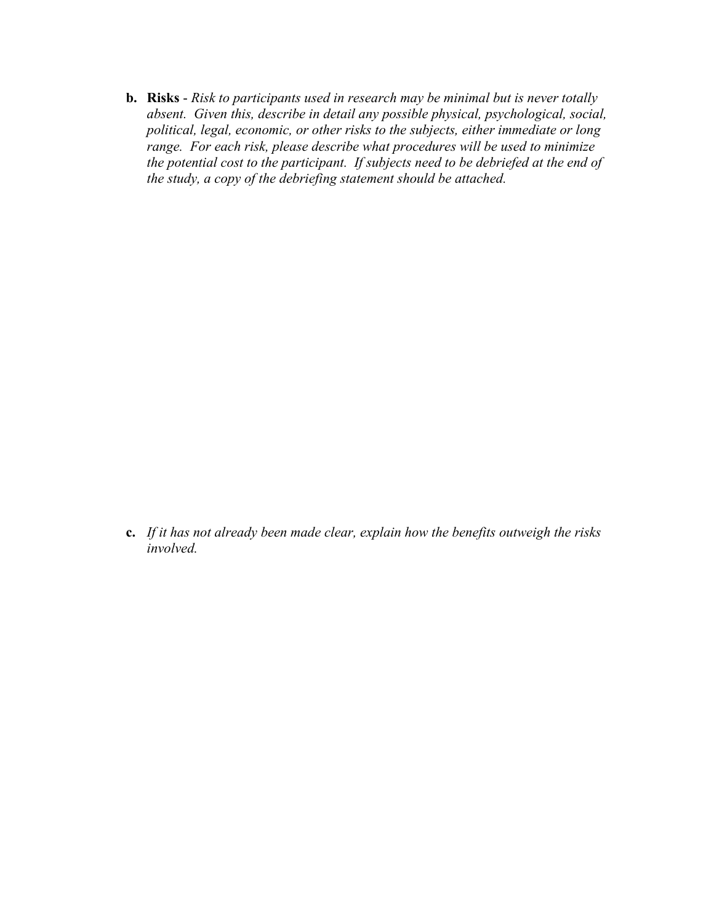**b. Risks** - *Risk to participants used in research may be minimal but is never totally absent. Given this, describe in detail any possible physical, psychological, social, political, legal, economic, or other risks to the subjects, either immediate or long range. For each risk, please describe what procedures will be used to minimize the potential cost to the participant. If subjects need to be debriefed at the end of the study, a copy of the debriefing statement should be attached.* 

**c.** *If it has not already been made clear, explain how the benefits outweigh the risks involved.*